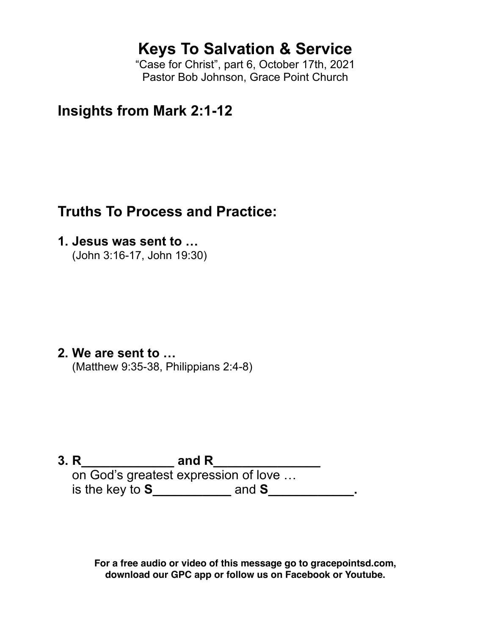# **Keys To Salvation & Service**

"Case for Christ", part 6, October 17th, 2021 Pastor Bob Johnson, Grace Point Church

**Insights from Mark 2:1-12**

## **Truths To Process and Practice:**

**1. Jesus was sent to …**

(John 3:16-17, John 19:30)

**2. We are sent to …** (Matthew 9:35-38, Philippians 2:4-8)

**3. R\_\_\_\_\_\_\_\_\_\_\_\_\_ and R\_\_\_\_\_\_\_\_\_\_\_\_\_\_\_** on God's greatest expression of love … is the key to **S\_\_\_\_\_\_\_\_\_\_\_** and **S\_\_\_\_\_\_\_\_\_\_\_\_.**

> **For a free audio or video of this message go to gracepointsd.com, download our GPC app or follow us on Facebook or Youtube.**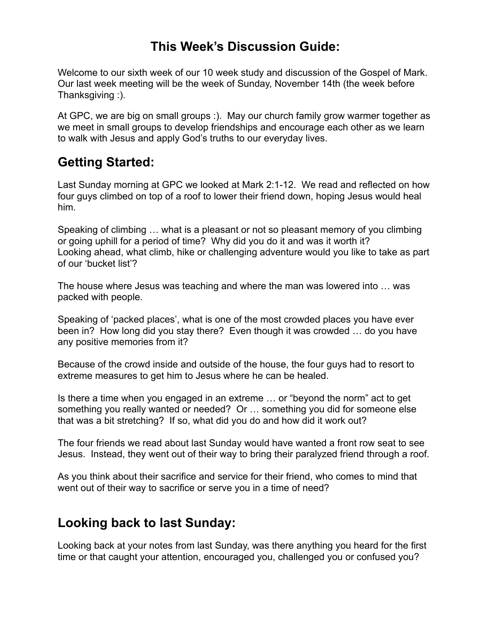### **This Week's Discussion Guide:**

Welcome to our sixth week of our 10 week study and discussion of the Gospel of Mark. Our last week meeting will be the week of Sunday, November 14th (the week before Thanksgiving :).

At GPC, we are big on small groups :). May our church family grow warmer together as we meet in small groups to develop friendships and encourage each other as we learn to walk with Jesus and apply God's truths to our everyday lives.

## **Getting Started:**

Last Sunday morning at GPC we looked at Mark 2:1-12. We read and reflected on how four guys climbed on top of a roof to lower their friend down, hoping Jesus would heal him.

Speaking of climbing … what is a pleasant or not so pleasant memory of you climbing or going uphill for a period of time? Why did you do it and was it worth it? Looking ahead, what climb, hike or challenging adventure would you like to take as part of our 'bucket list'?

The house where Jesus was teaching and where the man was lowered into … was packed with people.

Speaking of 'packed places', what is one of the most crowded places you have ever been in? How long did you stay there? Even though it was crowded … do you have any positive memories from it?

Because of the crowd inside and outside of the house, the four guys had to resort to extreme measures to get him to Jesus where he can be healed.

Is there a time when you engaged in an extreme … or "beyond the norm" act to get something you really wanted or needed? Or … something you did for someone else that was a bit stretching? If so, what did you do and how did it work out?

The four friends we read about last Sunday would have wanted a front row seat to see Jesus. Instead, they went out of their way to bring their paralyzed friend through a roof.

As you think about their sacrifice and service for their friend, who comes to mind that went out of their way to sacrifice or serve you in a time of need?

#### **Looking back to last Sunday:**

Looking back at your notes from last Sunday, was there anything you heard for the first time or that caught your attention, encouraged you, challenged you or confused you?